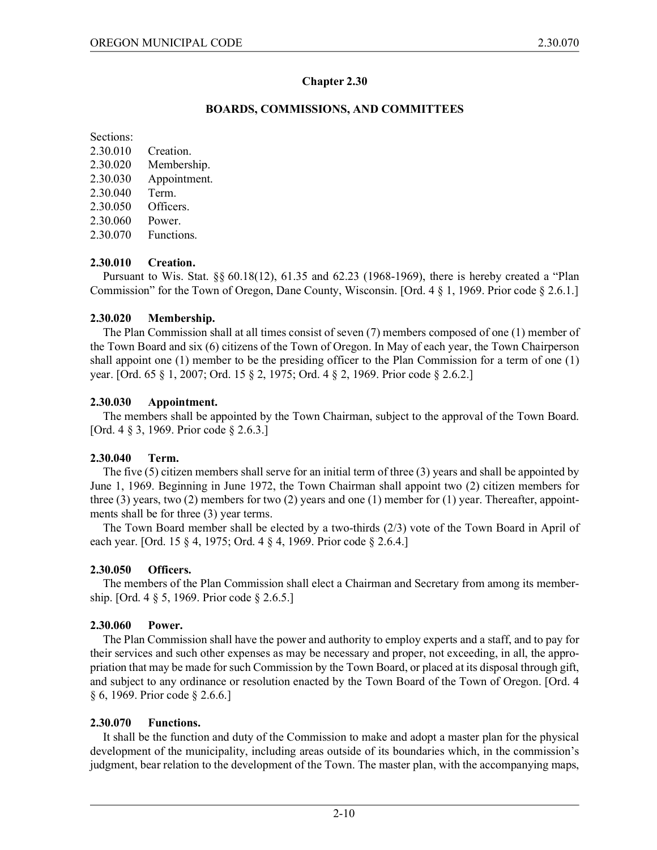#### **Chapter 2.30**

#### **BOARDS, COMMISSIONS, AND COMMITTEES**

Sections:

- 2.30.010 Creation.
- 2.30.020 Membership.
- 2.30.030 Appointment.
- 2.30.040 Term.
- 2.30.050 Officers.
- 2.30.060 Power.

2.30.070 Functions.

## **2.30.010 Creation.**

Pursuant to Wis. Stat. §§ 60.18(12), 61.35 and 62.23 (1968-1969), there is hereby created a "Plan Commission" for the Town of Oregon, Dane County, Wisconsin. [Ord.  $4 \tbinom{8}{1}$ , 1969. Prior code  $\xi$  2.6.1.]

## **2.30.020 Membership.**

The Plan Commission shall at all times consist of seven (7) members composed of one (1) member of the Town Board and six (6) citizens of the Town of Oregon. In May of each year, the Town Chairperson shall appoint one (1) member to be the presiding officer to the Plan Commission for a term of one (1) year. [Ord. 65 § 1, 2007; Ord. 15 § 2, 1975; Ord. 4 § 2, 1969. Prior code § 2.6.2.]

## **2.30.030 Appointment.**

The members shall be appointed by the Town Chairman, subject to the approval of the Town Board. [Ord. 4 § 3, 1969. Prior code § 2.6.3.]

# **2.30.040 Term.**

The five (5) citizen members shall serve for an initial term of three (3) years and shall be appointed by June 1, 1969. Beginning in June 1972, the Town Chairman shall appoint two (2) citizen members for three (3) years, two (2) members for two (2) years and one (1) member for (1) year. Thereafter, appointments shall be for three (3) year terms.

The Town Board member shall be elected by a two-thirds (2/3) vote of the Town Board in April of each year. [Ord. 15 § 4, 1975; Ord. 4 § 4, 1969. Prior code § 2.6.4.]

# **2.30.050 Officers.**

The members of the Plan Commission shall elect a Chairman and Secretary from among its membership. [Ord. 4 § 5, 1969. Prior code § 2.6.5.]

# **2.30.060 Power.**

The Plan Commission shall have the power and authority to employ experts and a staff, and to pay for their services and such other expenses as may be necessary and proper, not exceeding, in all, the appropriation that may be made for such Commission by the Town Board, or placed at its disposal through gift, and subject to any ordinance or resolution enacted by the Town Board of the Town of Oregon. [Ord. 4 § 6, 1969. Prior code § 2.6.6.]

# **2.30.070 Functions.**

It shall be the function and duty of the Commission to make and adopt a master plan for the physical development of the municipality, including areas outside of its boundaries which, in the commission's judgment, bear relation to the development of the Town. The master plan, with the accompanying maps,